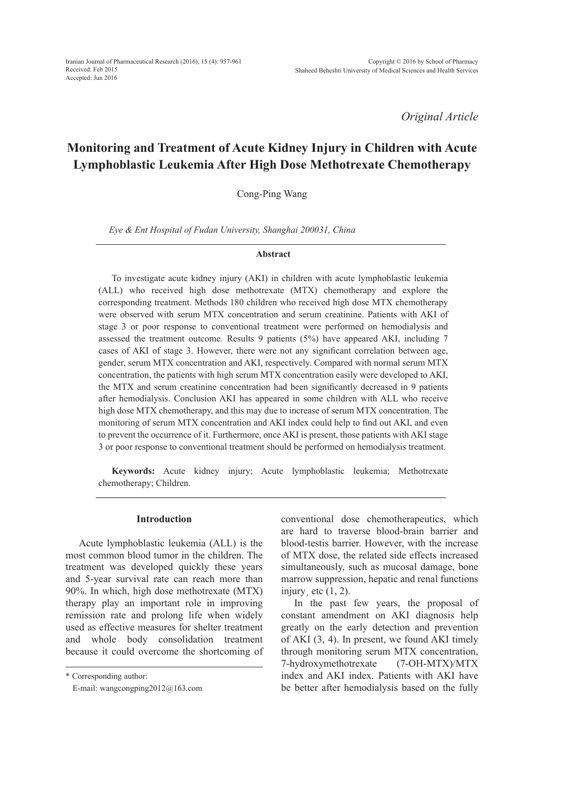*Original Article*

# **Monitoring and Treatment of Acute Kidney Injury in Children with Acute Lymphoblastic Leukemia After High Dose Methotrexate Chemotherapy**

Cong-Ping Wang

*Eye & Ent Hospital of Fudan University, Shanghai 200031, China*

#### **Abstract**

To investigate acute kidney injury (AKI) in children with acute lymphoblastic leukemia (ALL) who received high dose methotrexate (MTX) chemotherapy and explore the corresponding treatment. Methods 180 children who received high dose MTX chemotherapy were observed with serum MTX concentration and serum creatinine. Patients with AKI of stage 3 or poor response to conventional treatment were performed on hemodialysis and assessed the treatment outcome. Results 9 patients (5%) have appeared AKI, including 7 cases of AKI of stage 3. However, there were not any significant correlation between age, gender, serum MTX concentration and AKI, respectively. Compared with normal serum MTX concentration, the patients with high serum MTX concentration easily were developed to AKI, the MTX and serum creatinine concentration had been significantly decreased in 9 patients after hemodialysis. Conclusion AKI has appeared in some children with ALL who receive high dose MTX chemotherapy, and this may due to increase of serum MTX concentration. The monitoring of serum MTX concentration and AKI index could help to find out AKI, and even to prevent the occurrence of it. Furthermore, once AKI is present, those patients with AKI stage 3 or poor response to conventional treatment should be performed on hemodialysis treatment.

**Keywords:** Acute kidney injury; Acute lymphoblastic leukemia; Methotrexate chemotherapy; Children.

#### **Introduction**

Acute lymphoblastic leukemia (ALL) is the most common blood tumor in the children. The treatment was developed quickly these years and 5-year survival rate can reach more than 90%. In which, high dose methotrexate (MTX) therapy play an important role in improving remission rate and prolong life when widely used as effective measures for shelter treatment and whole body consolidation treatment because it could overcome the shortcoming of

\* Corresponding author:

conventional dose chemotherapeutics, which are hard to traverse blood-brain barrier and blood-testis barrier. However, with the increase of MTX dose, the related side effects increased simultaneously, such as mucosal damage, bone marrow suppression, hepatic and renal functions injury, etc  $(1, 2)$ .

In the past few years, the proposal of constant amendment on AKI diagnosis help greatly on the early detection and prevention of AKI (3, 4). In present, we found AKI timely through monitoring serum MTX concentration, 7-hydroxymethotrexate (7-OH-MTX)/MTX index and AKI index. Patients with AKI have be better after hemodialysis based on the fully

E-mail: wangcongping2012@163.com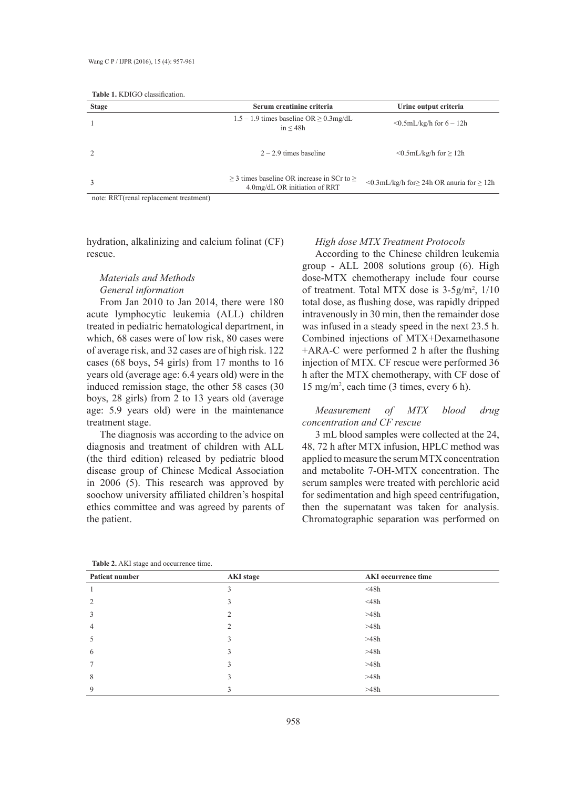| <b>Stage</b>                                                         | Serum creatinine criteria                                                             | Urine output criteria                                        |
|----------------------------------------------------------------------|---------------------------------------------------------------------------------------|--------------------------------------------------------------|
|                                                                      | $1.5 - 1.9$ times baseline OR $\geq 0.3$ mg/dL<br>in < 48h                            | $\leq 0.5$ mL/kg/h for 6 – 12h                               |
|                                                                      | $2 - 2.9$ times baseline                                                              | $\leq 0.5$ mL/kg/h for $\geq 12$ h                           |
|                                                                      | $\geq$ 3 times baseline OR increase in SCr to $\geq$<br>4.0mg/dL OR initiation of RRT | $\leq 0.3$ mL/kg/h for $\geq 24$ h OR anuria for $\geq 12$ h |
| $m_{\text{right}}$ DDT $(m_{\text{right}})$ randoom ant tractus ant) |                                                                                       |                                                              |

note: RRT(renal replacement treatment)

hydration, alkalinizing and calcium folinat (CF) rescue.

## *Materials and Methods General information*

From Jan 2010 to Jan 2014, there were 180 acute lymphocytic leukemia (ALL) children treated in pediatric hematological department, in which, 68 cases were of low risk, 80 cases were of average risk, and 32 cases are of high risk. 122 cases (68 boys, 54 girls) from 17 months to 16 years old (average age: 6.4 years old) were in the induced remission stage, the other 58 cases (30 boys, 28 girls) from 2 to 13 years old (average age: 5.9 years old) were in the maintenance treatment stage.

The diagnosis was according to the advice on diagnosis and treatment of children with ALL (the third edition) released by pediatric blood disease group of Chinese Medical Association in 2006 (5). This research was approved by soochow university affiliated children's hospital ethics committee and was agreed by parents of the patient.

#### *High dose MTX Treatment Protocols*

According to the Chinese children leukemia group - ALL 2008 solutions group (6). High dose-MTX chemotherapy include four course of treatment. Total MTX dose is  $3-5g/m^2$ ,  $1/10$ total dose, as flushing dose, was rapidly dripped intravenously in 30 min, then the remainder dose was infused in a steady speed in the next 23.5 h. Combined injections of MTX+Dexamethasone +ARA-C were performed 2 h after the flushing injection of MTX. CF rescue were performed 36 h after the MTX chemotherapy, with CF dose of 15 mg/m2 , each time (3 times, every 6 h).

## *Measurement of MTX blood drug concentration and CF rescue*

3 mL blood samples were collected at the 24, 48, 72 h after MTX infusion, HPLC method was applied to measure the serum MTX concentration and metabolite 7-OH-MTX concentration. The serum samples were treated with perchloric acid for sedimentation and high speed centrifugation, then the supernatant was taken for analysis. Chromatographic separation was performed on

| Patient number | <b>AKI</b> stage | <b>AKI</b> occurrence time |
|----------------|------------------|----------------------------|
| -1             | 3                | $<$ 48 $h$                 |
| 2              |                  | $<$ 48 $h$                 |
| 3              | $\mathfrak{D}$   | >48h                       |
| $\overline{4}$ |                  | >48h                       |
| 5              | 3                | >48h                       |
| 6              | 3                | >48h                       |
| $\overline{7}$ | 3                | >48h                       |
| 8              | ς                | >48h                       |
| 9              | 3                | >48h                       |

**Table 2.** AKI stage and occurrence time.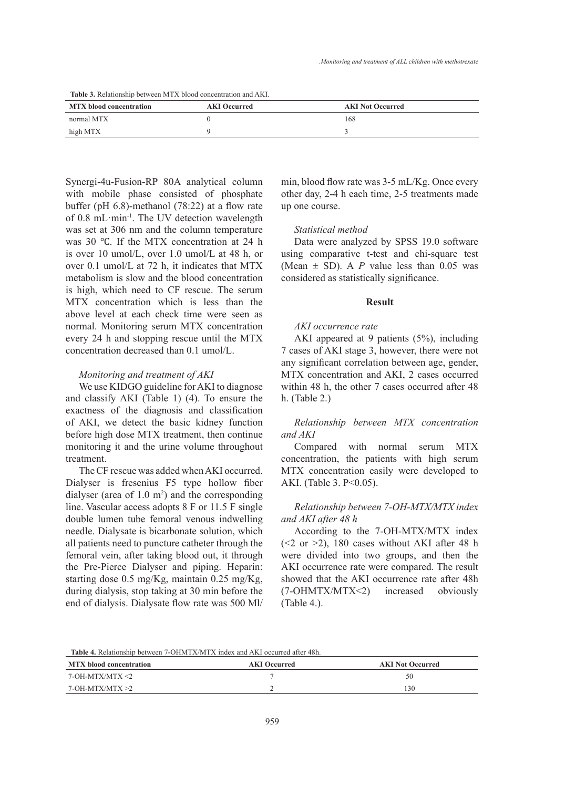**Table 3.** Relationship between MTX blood concentration and AKI.

| <b>MTX</b> blood concentration | <b>AKI Occurred</b> | <b>AKI Not Occurred</b> |
|--------------------------------|---------------------|-------------------------|
| normal MTX                     |                     | 168                     |
| high MTX                       |                     |                         |

Synergi-4u-Fusion-RP 80A analytical column with mobile phase consisted of phosphate buffer (pH 6.8)-methanol (78:22) at a flow rate of 0.8 mL·min-1. The UV detection wavelength was set at 306 nm and the column temperature was 30 ℃. If the MTX concentration at 24 h is over 10 umol/L, over 1.0 umol/L at 48 h, or over 0.1 umol/L at 72 h, it indicates that MTX metabolism is slow and the blood concentration is high, which need to CF rescue. The serum MTX concentration which is less than the above level at each check time were seen as normal. Monitoring serum MTX concentration every 24 h and stopping rescue until the MTX concentration decreased than 0.1 umol/L.

## *Monitoring and treatment of AKI*

We use KIDGO guideline for AKI to diagnose and classify AKI (Table 1) (4). To ensure the exactness of the diagnosis and classification of AKI, we detect the basic kidney function before high dose MTX treatment, then continue monitoring it and the urine volume throughout treatment.

The CF rescue was added when AKI occurred. Dialyser is fresenius F5 type hollow fiber dialyser (area of  $1.0 \text{ m}^2$ ) and the corresponding line. Vascular access adopts 8 F or 11.5 F single double lumen tube femoral venous indwelling needle. Dialysate is bicarbonate solution, which all patients need to puncture catheter through the femoral vein, after taking blood out, it through the Pre-Pierce Dialyser and piping. Heparin: starting dose 0.5 mg/Kg, maintain 0.25 mg/Kg, during dialysis, stop taking at 30 min before the end of dialysis. Dialysate flow rate was 500 Ml/

min, blood flow rate was 3-5 mL/Kg. Once every other day, 2-4 h each time, 2-5 treatments made up one course.

#### *Statistical method*

Data were analyzed by SPSS 19.0 software using comparative t-test and chi-square test (Mean  $\pm$  SD). A *P* value less than 0.05 was considered as statistically significance.

#### **Result**

## *AKI occurrence rate*

AKI appeared at 9 patients (5%), including 7 cases of AKI stage 3, however, there were not any significant correlation between age, gender, MTX concentration and AKI, 2 cases occurred within 48 h, the other 7 cases occurred after 48 h. (Table 2.)

## *Relationship between MTX concentration and AKI*

Compared with normal serum MTX concentration, the patients with high serum MTX concentration easily were developed to AKI. (Table 3. P<0.05).

## *Relationship between 7-OH-MTX/MTX index and AKI after 48 h*

According to the 7-OH-MTX/MTX index  $(\leq 2$  or  $\geq 2)$ , 180 cases without AKI after 48 h were divided into two groups, and then the AKI occurrence rate were compared. The result showed that the AKI occurrence rate after 48h (7-OHMTX/MTX<2) increased obviously (Table 4.).

**Table 4.** Relationship between 7-OHMTX/MTX index and AKI occurred after 48h.

| <b>MTX</b> blood concentration | <b>AKI</b> Occurred | <b>AKI Not Occurred</b> |
|--------------------------------|---------------------|-------------------------|
| 7-OH-MTX/MTX <2                |                     | 50                      |
| 7-OH-MTX/MTX >2                |                     | .30                     |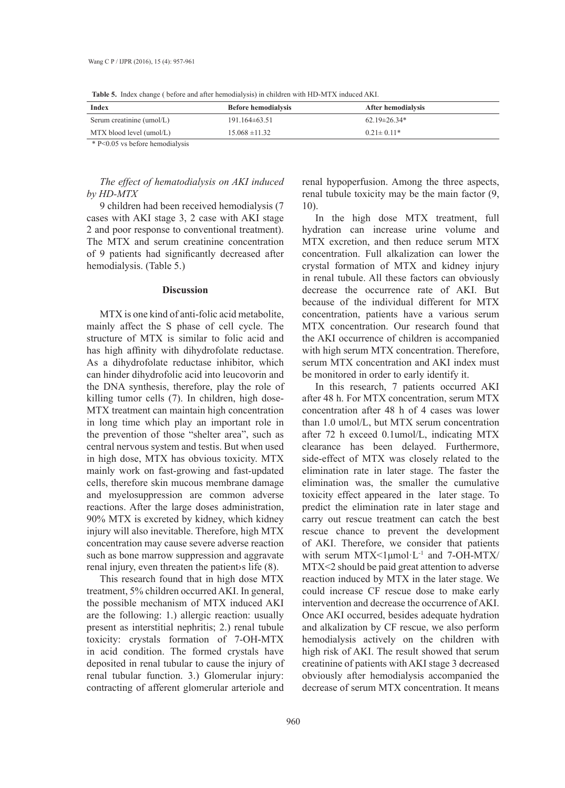| <b>Table 3.</b> Thuga change ( before and and hemografysis) in children with TID-19117Y mudeum ART. |                            |                    |  |
|-----------------------------------------------------------------------------------------------------|----------------------------|--------------------|--|
| Index                                                                                               | <b>Before hemodialysis</b> | After hemodialysis |  |
| Serum creatinine (umol/L)                                                                           | $191.164\pm 63.51$         | $62.19 \pm 26.34*$ |  |
| MTX blood level (umol/L)                                                                            | $15.068 \pm 11.32$         | $0.21 \pm 0.11*$   |  |

**Table 5.** Index change ( before and after hemodialysis) in children with HD-MTX induced AKI.

\* P<0.05 vs before hemodialysis

## *The effect of hematodialysis on AKI induced by HD-MTX*

9 children had been received hemodialysis (7 cases with AKI stage 3, 2 case with AKI stage 2 and poor response to conventional treatment). The MTX and serum creatinine concentration of 9 patients had significantly decreased after hemodialysis. (Table 5.)

#### **Discussion**

MTX is one kind of anti-folic acid metabolite, mainly affect the S phase of cell cycle. The structure of MTX is similar to folic acid and has high affinity with dihydrofolate reductase. As a dihydrofolate reductase inhibitor, which can hinder dihydrofolic acid into leucovorin and the DNA synthesis, therefore, play the role of killing tumor cells (7). In children, high dose-MTX treatment can maintain high concentration in long time which play an important role in the prevention of those "shelter area", such as central nervous system and testis. But when used in high dose, MTX has obvious toxicity. MTX mainly work on fast-growing and fast-updated cells, therefore skin mucous membrane damage and myelosuppression are common adverse reactions. After the large doses administration, 90% MTX is excreted by kidney, which kidney injury will also inevitable. Therefore, high MTX concentration may cause severe adverse reaction such as bone marrow suppression and aggravate renal injury, even threaten the patient›s life (8).

This research found that in high dose MTX treatment, 5% children occurred AKI. In general, the possible mechanism of MTX induced AKI are the following: 1.) allergic reaction: usually present as interstitial nephritis; 2.) renal tubule toxicity: crystals formation of 7-OH-MTX in acid condition. The formed crystals have deposited in renal tubular to cause the injury of renal tubular function. 3.) Glomerular injury: contracting of afferent glomerular arteriole and

renal hypoperfusion. Among the three aspects, renal tubule toxicity may be the main factor (9, 10).

In the high dose MTX treatment, full hydration can increase urine volume and MTX excretion, and then reduce serum MTX concentration. Full alkalization can lower the crystal formation of MTX and kidney injury in renal tubule. All these factors can obviously decrease the occurrence rate of AKI. But because of the individual different for MTX concentration, patients have a various serum MTX concentration. Our research found that the AKI occurrence of children is accompanied with high serum MTX concentration. Therefore, serum MTX concentration and AKI index must be monitored in order to early identify it.

In this research, 7 patients occurred AKI after 48 h. For MTX concentration, serum MTX concentration after 48 h of 4 cases was lower than 1.0 umol/L, but MTX serum concentration after 72 h exceed 0.1umol/L, indicating MTX clearance has been delayed. Furthermore, side-effect of MTX was closely related to the elimination rate in later stage. The faster the elimination was, the smaller the cumulative toxicity effect appeared in the later stage. To predict the elimination rate in later stage and carry out rescue treatment can catch the best rescue chance to prevent the development of AKI. Therefore, we consider that patients with serum  $MTX < 1$ µmol·L<sup>-1</sup> and 7-OH-MTX/ MTX<2 should be paid great attention to adverse reaction induced by MTX in the later stage. We could increase CF rescue dose to make early intervention and decrease the occurrence of AKI. Once AKI occurred, besides adequate hydration and alkalization by CF rescue, we also perform hemodialysis actively on the children with high risk of AKI. The result showed that serum creatinine of patients with AKI stage 3 decreased obviously after hemodialysis accompanied the decrease of serum MTX concentration. It means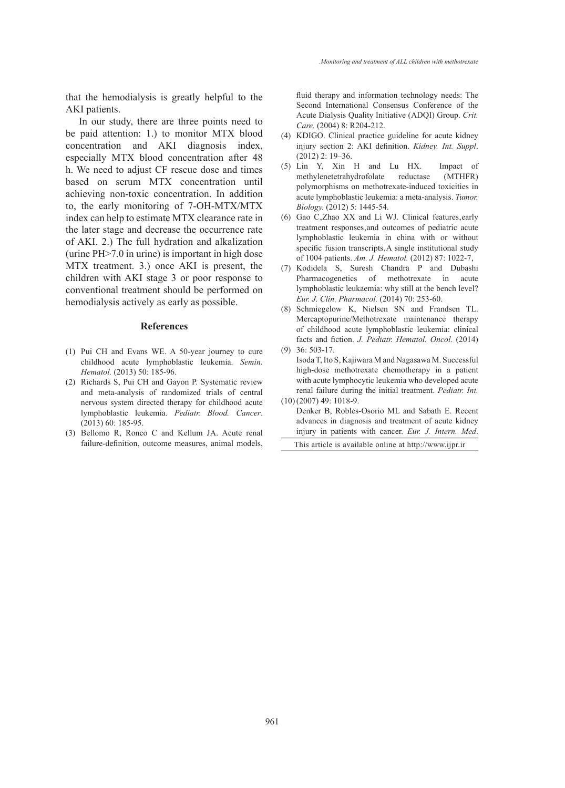that the hemodialysis is greatly helpful to the AKI patients.

In our study, there are three points need to be paid attention: 1.) to monitor MTX blood concentration and AKI diagnosis index, especially MTX blood concentration after 48 h. We need to adjust CF rescue dose and times based on serum MTX concentration until achieving non-toxic concentration. In addition to, the early monitoring of 7-OH-MTX/MTX index can help to estimate MTX clearance rate in the later stage and decrease the occurrence rate of AKI. 2.) The full hydration and alkalization (urine PH>7.0 in urine) is important in high dose MTX treatment. 3.) once AKI is present, the children with AKI stage 3 or poor response to conventional treatment should be performed on hemodialysis actively as early as possible.

#### **References**

- $(1)$  Pui CH and Evans WE. A 50-year journey to cure childhood acute lymphoblastic leukemia. *Semin. Hematol.* (2013) 50: 185-96.
- (2) Richards S, Pui CH and Gayon P. Systematic review and meta-analysis of randomized trials of central nervous system directed therapy for childhood acute lymphoblastic leukemia. *Pediatr. Blood. Cancer*. (2013) 60: 185-95.
- Bellomo R, Ronco C and Kellum JA. Acute renal (3) failure-definition, outcome measures, animal models,

fluid therapy and information technology needs: The Second International Consensus Conference of the Acute Dialysis Quality Initiative (ADQI) Group. *Crit. Care.* (2004) 8: R204-212.

- (4) KDIGO. Clinical practice guideline for acute kidney injury section 2: AKI definition. *Kidney. Int. Suppl*. (2012) 2: 19–36.
- (5) Lin Y, Xin H and Lu HX. Impact of methylenetetrahydrofolate reductase (MTHFR) polymorphisms on methotrexate-induced toxicities in acute lymphoblastic leukemia: a meta-analysis. *Tumor. Biology.* (2012) 5: 1445-54.
- $(6)$  Gao C, Zhao XX and Li WJ. Clinical features, early treatment responses, and outcomes of pediatric acute lymphoblastic leukemia in china with or without specific fusion transcripts, A single institutional study of 1004 patients. *Am. J. Hematol.* (2012) 87: 1022-7'
- (7) Kodidela S, Suresh Chandra P and Dubashi Pharmacogenetics of methotrexate in acute lymphoblastic leukaemia: why still at the bench level? *Eur. J. Clin. Pharmacol.* (2014) 70: 253-60.
- (8) Schmiegelow K, Nielsen SN and Frandsen TL. Mercaptopurine/Methotrexate maintenance therapy of childhood acute lymphoblastic leukemia: clinical facts and fiction. *J. Pediatr. Hematol. Oncol.* (2014) 36: 503-17. (9)
- Isoda T, Ito S, Kajiwara M and Nagasawa M. Successful high-dose methotrexate chemotherapy in a patient with acute lymphocytic leukemia who developed acute renal failure during the initial treatment. *Pediatr. Int.*
- (2007) 49: 1018-9. (10) Denker B, Robles-Osorio ML and Sabath E. Recent advances in diagnosis and treatment of acute kidney injury in patients with cancer. *Eur. J. Intern. Med*.

This article is available online at http://www.ijpr.ir